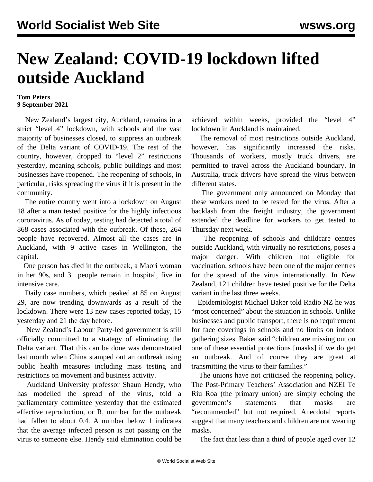## **New Zealand: COVID-19 lockdown lifted outside Auckland**

## **Tom Peters 9 September 2021**

 New Zealand's largest city, Auckland, remains in a strict "level 4" lockdown, with schools and the vast majority of businesses closed, to suppress an outbreak of the Delta variant of COVID-19. The rest of the country, however, dropped to "level 2" restrictions yesterday, meaning schools, public buildings and most businesses have reopened. The reopening of schools, in particular, risks spreading the virus if it is present in the community.

 The entire country went into a lockdown on August 18 after a man tested positive for the highly infectious coronavirus. As of today, testing had detected a total of 868 cases associated with the outbreak. Of these, 264 people have recovered. Almost all the cases are in Auckland, with 9 active cases in Wellington, the capital.

 One person has died in the outbreak, a Maori woman in her 90s, and 31 people remain in hospital, five in intensive care.

 Daily case numbers, which peaked at 85 on August 29, are now trending downwards as a result of the lockdown. There were 13 new cases reported today, 15 yesterday and 21 the day before.

 New Zealand's Labour Party-led government is still officially committed to a strategy of eliminating the Delta variant. That this can be done was demonstrated last month when [China](/en/articles/2021/08/21/chin-a21.html) stamped out an outbreak using public health measures including mass testing and restrictions on movement and business activity.

 Auckland University professor Shaun Hendy, who has modelled the spread of the virus, told a parliamentary committee yesterday that the estimated effective reproduction, or R, number for the outbreak had fallen to about 0.4. A number below 1 indicates that the average infected person is not passing on the virus to someone else. Hendy said elimination could be achieved within weeks, provided the "level 4" lockdown in Auckland is maintained.

 The removal of most restrictions outside Auckland, however, has significantly increased the risks. Thousands of workers, mostly truck drivers, are permitted to travel across the Auckland boundary. In Australia, truck drivers have spread the virus between different states.

 The government only announced on Monday that these workers need to be tested for the virus. After a backlash from the freight industry, the government extended the deadline for workers to get tested to Thursday next week.

 The reopening of schools and childcare centres outside Auckland, with virtually no restrictions, poses a major danger. With children not eligible for vaccination, schools have been one of the major centres for the spread of the virus internationally. In New Zealand, 121 children have tested positive for the Delta variant in the last three weeks.

 Epidemiologist Michael Baker told Radio NZ he was "most concerned" about the situation in schools. Unlike businesses and public transport, there is no requirement for face coverings in schools and no limits on indoor gathering sizes. Baker said "children are missing out on one of these essential protections [masks] if we do get an outbreak. And of course they are great at transmitting the virus to their families."

 The unions have not criticised the reopening policy. The Post-Primary Teachers' Association and NZEI Te Riu Roa (the primary union) are simply echoing the government's statements that masks are "recommended" but not required. Anecdotal reports suggest that many teachers and children are not wearing masks.

The fact that less than a third of people aged over 12